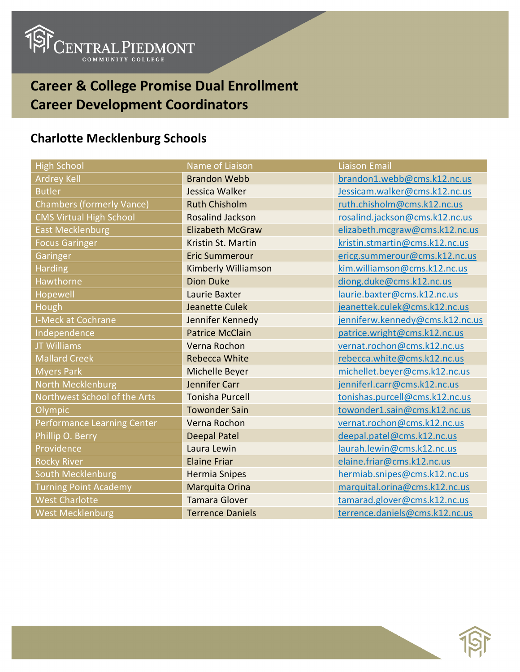

## **Career & College Promise Dual Enrollment Career Development Coordinators**

## **Charlotte Mecklenburg Schools**

| <b>High School</b>               | Name of Liaison         | <b>Liaison Email</b>            |
|----------------------------------|-------------------------|---------------------------------|
| <b>Ardrey Kell</b>               | <b>Brandon Webb</b>     | brandon1.webb@cms.k12.nc.us     |
| <b>Butler</b>                    | Jessica Walker          | Jessicam.walker@cms.k12.nc.us   |
| <b>Chambers (formerly Vance)</b> | <b>Ruth Chisholm</b>    | ruth.chisholm@cms.k12.nc.us     |
| <b>CMS Virtual High School</b>   | <b>Rosalind Jackson</b> | rosalind.jackson@cms.k12.nc.us  |
| <b>East Mecklenburg</b>          | <b>Elizabeth McGraw</b> | elizabeth.mcgraw@cms.k12.nc.us  |
| <b>Focus Garinger</b>            | Kristin St. Martin      | kristin.stmartin@cms.k12.nc.us  |
| Garinger                         | <b>Eric Summerour</b>   | ericg.summerour@cms.k12.nc.us   |
| <b>Harding</b>                   | Kimberly Williamson     | kim.williamson@cms.k12.nc.us    |
| Hawthorne                        | <b>Dion Duke</b>        | diong.duke@cms.k12.nc.us        |
| Hopewell                         | Laurie Baxter           | laurie.baxter@cms.k12.nc.us     |
| Hough                            | <b>Jeanette Culek</b>   | jeanettek.culek@cms.k12.nc.us   |
| <b>I-Meck at Cochrane</b>        | Jennifer Kennedy        | jenniferw.kennedy@cms.k12.nc.us |
| Independence                     | <b>Patrice McClain</b>  | patrice.wright@cms.k12.nc.us    |
| <b>JT Williams</b>               | Verna Rochon            | vernat.rochon@cms.k12.nc.us     |
| <b>Mallard Creek</b>             | <b>Rebecca White</b>    | rebecca.white@cms.k12.nc.us     |
| <b>Myers Park</b>                | Michelle Beyer          | michellet.beyer@cms.k12.nc.us   |
| North Mecklenburg                | Jennifer Carr           | jenniferl.carr@cms.k12.nc.us    |
| Northwest School of the Arts     | <b>Tonisha Purcell</b>  | tonishas.purcell@cms.k12.nc.us  |
| <b>Olympic</b>                   | <b>Towonder Sain</b>    | towonder1.sain@cms.k12.nc.us    |
| Performance Learning Center      | Verna Rochon            | vernat.rochon@cms.k12.nc.us     |
| Phillip O. Berry                 | <b>Deepal Patel</b>     | deepal.patel@cms.k12.nc.us      |
| Providence                       | Laura Lewin             | laurah.lewin@cms.k12.nc.us      |
| <b>Rocky River</b>               | <b>Elaine Friar</b>     | elaine.friar@cms.k12.nc.us      |
| South Mecklenburg                | <b>Hermia Snipes</b>    | hermiab.snipes@cms.k12.nc.us    |
| <b>Turning Point Academy</b>     | Marquita Orina          | marquital.orina@cms.k12.nc.us   |
| <b>West Charlotte</b>            | <b>Tamara Glover</b>    | tamarad.glover@cms.k12.nc.us    |
| <b>West Mecklenburg</b>          | <b>Terrence Daniels</b> | terrence.daniels@cms.k12.nc.us  |